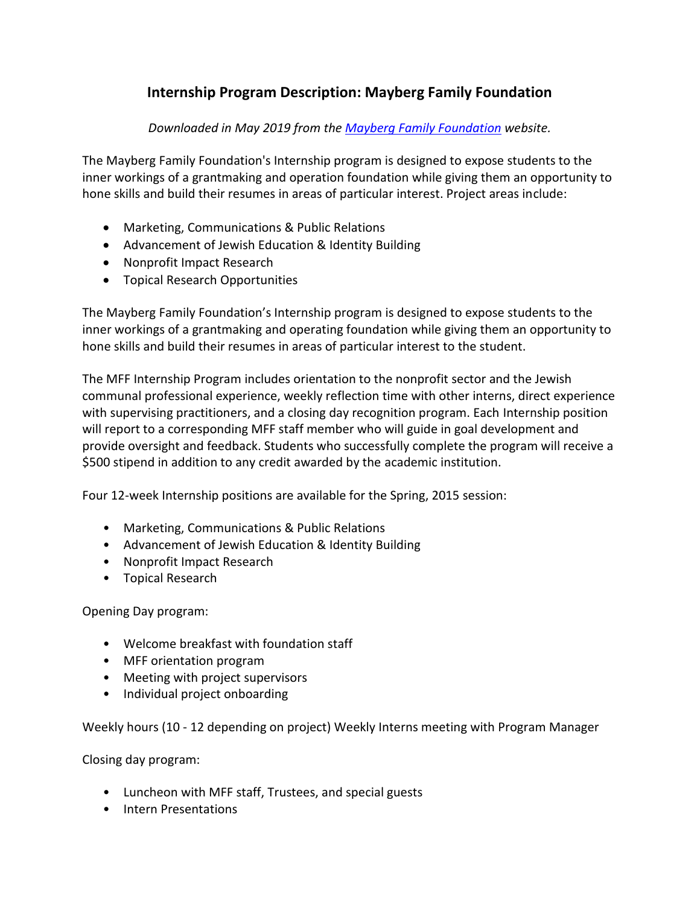# **Internship Program Description: Mayberg Family Foundation**

### *Downloaded in May 2019 from the Mayberg [Family Foundation](https://www.mayberg.org/) website.*

The Mayberg Family Foundation's Internship program is designed to expose students to the inner workings of a grantmaking and operation foundation while giving them an opportunity to hone skills and build their resumes in areas of particular interest. Project areas include:

- Marketing, Communications & Public Relations
- Advancement of Jewish Education & Identity Building
- Nonprofit Impact Research
- Topical Research Opportunities

The Mayberg Family Foundation's Internship program is designed to expose students to the inner workings of a grantmaking and operating foundation while giving them an opportunity to hone skills and build their resumes in areas of particular interest to the student.

The MFF Internship Program includes orientation to the nonprofit sector and the Jewish communal professional experience, weekly reflection time with other interns, direct experience with supervising practitioners, and a closing day recognition program. Each Internship position will report to a corresponding MFF staff member who will guide in goal development and provide oversight and feedback. Students who successfully complete the program will receive a \$500 stipend in addition to any credit awarded by the academic institution.

Four 12-week Internship positions are available for the Spring, 2015 session:

- Marketing, Communications & Public Relations
- Advancement of Jewish Education & Identity Building
- Nonprofit Impact Research
- Topical Research

Opening Day program:

- Welcome breakfast with foundation staff
- MFF orientation program
- Meeting with project supervisors
- Individual project onboarding

Weekly hours (10 - 12 depending on project) Weekly Interns meeting with Program Manager

Closing day program:

- Luncheon with MFF staff, Trustees, and special guests
- Intern Presentations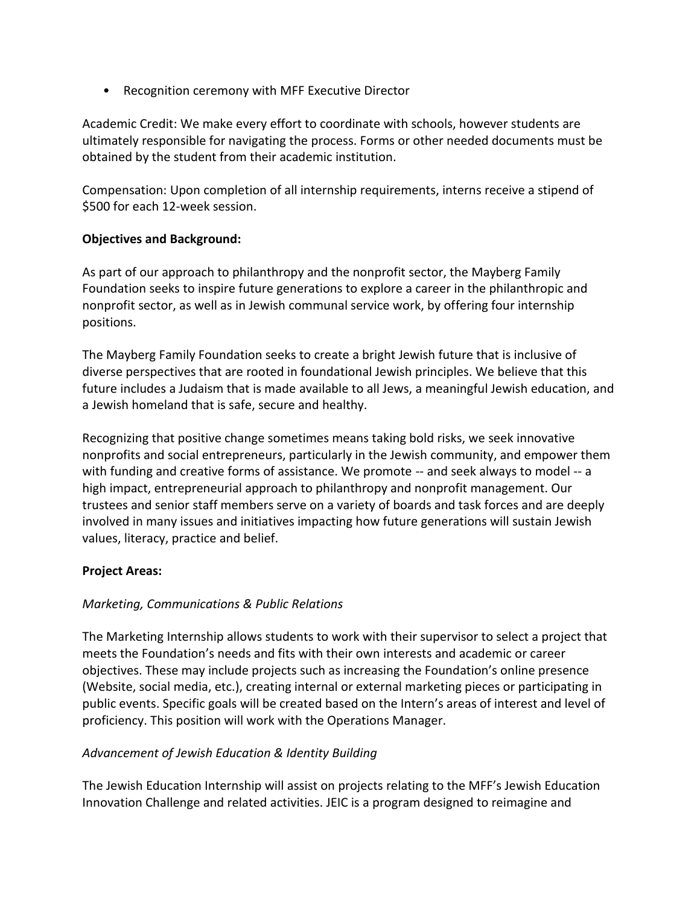• Recognition ceremony with MFF Executive Director

Academic Credit: We make every effort to coordinate with schools, however students are ultimately responsible for navigating the process. Forms or other needed documents must be obtained by the student from their academic institution.

Compensation: Upon completion of all internship requirements, interns receive a stipend of \$500 for each 12-week session.

### **Objectives and Background:**

As part of our approach to philanthropy and the nonprofit sector, the Mayberg Family Foundation seeks to inspire future generations to explore a career in the philanthropic and nonprofit sector, as well as in Jewish communal service work, by offering four internship positions.

The Mayberg Family Foundation seeks to create a bright Jewish future that is inclusive of diverse perspectives that are rooted in foundational Jewish principles. We believe that this future includes a Judaism that is made available to all Jews, a meaningful Jewish education, and a Jewish homeland that is safe, secure and healthy.

Recognizing that positive change sometimes means taking bold risks, we seek innovative nonprofits and social entrepreneurs, particularly in the Jewish community, and empower them with funding and creative forms of assistance. We promote -- and seek always to model -- a high impact, entrepreneurial approach to philanthropy and nonprofit management. Our trustees and senior staff members serve on a variety of boards and task forces and are deeply involved in many issues and initiatives impacting how future generations will sustain Jewish values, literacy, practice and belief.

### **Project Areas:**

## *Marketing, Communications & Public Relations*

The Marketing Internship allows students to work with their supervisor to select a project that meets the Foundation's needs and fits with their own interests and academic or career objectives. These may include projects such as increasing the Foundation's online presence (Website, social media, etc.), creating internal or external marketing pieces or participating in public events. Specific goals will be created based on the Intern's areas of interest and level of proficiency. This position will work with the Operations Manager.

## *Advancement of Jewish Education & Identity Building*

The Jewish Education Internship will assist on projects relating to the MFF's Jewish Education Innovation Challenge and related activities. JEIC is a program designed to reimagine and